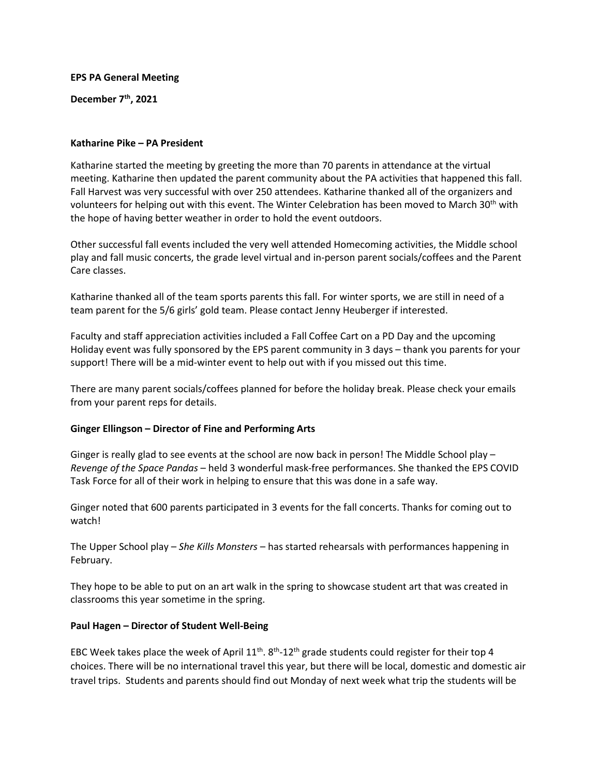### **EPS PA General Meeting**

**December 7th, 2021**

### **Katharine Pike – PA President**

Katharine started the meeting by greeting the more than 70 parents in attendance at the virtual meeting. Katharine then updated the parent community about the PA activities that happened this fall. Fall Harvest was very successful with over 250 attendees. Katharine thanked all of the organizers and volunteers for helping out with this event. The Winter Celebration has been moved to March 30<sup>th</sup> with the hope of having better weather in order to hold the event outdoors.

Other successful fall events included the very well attended Homecoming activities, the Middle school play and fall music concerts, the grade level virtual and in-person parent socials/coffees and the Parent Care classes.

Katharine thanked all of the team sports parents this fall. For winter sports, we are still in need of a team parent for the 5/6 girls' gold team. Please contact Jenny Heuberger if interested.

Faculty and staff appreciation activities included a Fall Coffee Cart on a PD Day and the upcoming Holiday event was fully sponsored by the EPS parent community in 3 days – thank you parents for your support! There will be a mid-winter event to help out with if you missed out this time.

There are many parent socials/coffees planned for before the holiday break. Please check your emails from your parent reps for details.

# **Ginger Ellingson – Director of Fine and Performing Arts**

Ginger is really glad to see events at the school are now back in person! The Middle School play – *Revenge of the Space Pandas* – held 3 wonderful mask-free performances. She thanked the EPS COVID Task Force for all of their work in helping to ensure that this was done in a safe way.

Ginger noted that 600 parents participated in 3 events for the fall concerts. Thanks for coming out to watch!

The Upper School play – *She Kills Monsters* – has started rehearsals with performances happening in February.

They hope to be able to put on an art walk in the spring to showcase student art that was created in classrooms this year sometime in the spring.

# **Paul Hagen – Director of Student Well-Being**

EBC Week takes place the week of April  $11^{th}$ .  $8^{th}$ -12<sup>th</sup> grade students could register for their top 4 choices. There will be no international travel this year, but there will be local, domestic and domestic air travel trips. Students and parents should find out Monday of next week what trip the students will be